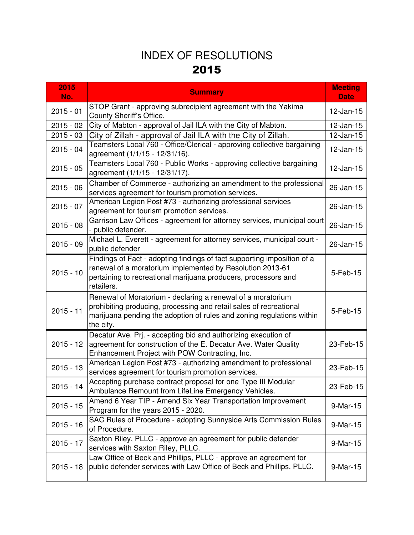| 2015<br>No. | <b>Summary</b>                                                                                                                                                                                                          | <b>Meeting</b><br><b>Date</b> |
|-------------|-------------------------------------------------------------------------------------------------------------------------------------------------------------------------------------------------------------------------|-------------------------------|
| $2015 - 01$ | STOP Grant - approving subrecipient agreement with the Yakima<br>County Sheriff's Office.                                                                                                                               | $12$ -Jan-15                  |
| $2015 - 02$ | City of Mabton - approval of Jail ILA with the City of Mabton.                                                                                                                                                          | $12$ -Jan-15                  |
| $2015 - 03$ | City of Zillah - approval of Jail ILA with the City of Zillah.                                                                                                                                                          | $12$ -Jan-15                  |
| $2015 - 04$ | Teamsters Local 760 - Office/Clerical - approving collective bargaining<br>agreement (1/1/15 - 12/31/16).                                                                                                               | 12-Jan-15                     |
| $2015 - 05$ | Teamsters Local 760 - Public Works - approving collective bargaining<br>agreement (1/1/15 - 12/31/17).                                                                                                                  | 12-Jan-15                     |
| $2015 - 06$ | Chamber of Commerce - authorizing an amendment to the professional<br>services agreement for tourism promotion services.                                                                                                | 26-Jan-15                     |
| $2015 - 07$ | American Legion Post #73 - authorizing professional services<br>agreement for tourism promotion services.                                                                                                               | 26-Jan-15                     |
| $2015 - 08$ | Garrison Law Offices - agreement for attorney services, municipal court<br>- public defender.                                                                                                                           | 26-Jan-15                     |
| $2015 - 09$ | Michael L. Everett - agreement for attorney services, municipal court -<br>public defender                                                                                                                              | 26-Jan-15                     |
| $2015 - 10$ | Findings of Fact - adopting findings of fact supporting imposition of a<br>renewal of a moratorium implemented by Resolution 2013-61<br>pertaining to recreational marijuana producers, processors and<br>retailers.    | 5-Feb-15                      |
| $2015 - 11$ | Renewal of Moratorium - declaring a renewal of a moratorium<br>prohibiting producing, processing and retail sales of recreational<br>marijuana pending the adoption of rules and zoning regulations within<br>the city. | 5-Feb-15                      |
| $2015 - 12$ | Decatur Ave. Prj. - accepting bid and authorizing execution of<br>agreement for construction of the E. Decatur Ave. Water Quality<br>Enhancement Project with POW Contracting, Inc.                                     | 23-Feb-15                     |
| $2015 - 13$ | American Legion Post #73 - authorizing amendment to professional<br>services agreement for tourism promotion services.                                                                                                  | 23-Feb-15                     |
| 2015 - 14   | Accepting purchase contract proposal for one Type III Modular<br>Ambulance Remount from LifeLine Emergency Vehicles.                                                                                                    | 23-Feb-15                     |
| $2015 - 15$ | Amend 6 Year TIP - Amend Six Year Transportation Improvement<br>Program for the years 2015 - 2020.                                                                                                                      | 9-Mar-15                      |
| $2015 - 16$ | SAC Rules of Procedure - adopting Sunnyside Arts Commission Rules<br>of Procedure.                                                                                                                                      | 9-Mar-15                      |
| $2015 - 17$ | Saxton Riley, PLLC - approve an agreement for public defender<br>services with Saxton Riley, PLLC.                                                                                                                      | 9-Mar-15                      |
| $2015 - 18$ | Law Office of Beck and Phillips, PLLC - approve an agreement for<br>public defender services with Law Office of Beck and Phillips, PLLC.                                                                                | 9-Mar-15                      |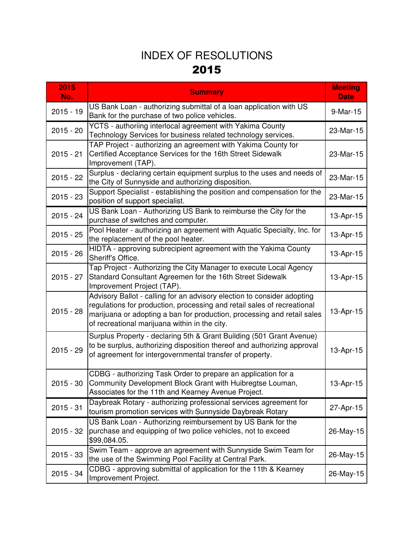| 2015<br>No. | <b>Summary</b>                                                                                                                                                                                                                                                                 | <b>Meeting</b><br><b>Date</b> |
|-------------|--------------------------------------------------------------------------------------------------------------------------------------------------------------------------------------------------------------------------------------------------------------------------------|-------------------------------|
| $2015 - 19$ | US Bank Loan - authorizing submittal of a loan application with US<br>Bank for the purchase of two police vehicles.                                                                                                                                                            | 9-Mar-15                      |
| $2015 - 20$ | YCTS - authoriing interlocal agreement with Yakima County<br>Technology Services for business related technology services.                                                                                                                                                     | 23-Mar-15                     |
| $2015 - 21$ | TAP Project - authorizing an agreement with Yakima County for<br>Certified Acceptance Services for the 16th Street Sidewalk<br>Improvement (TAP).                                                                                                                              | 23-Mar-15                     |
| $2015 - 22$ | Surplus - declaring certain equipment surplus to the uses and needs of<br>the City of Sunnyside and authorizing disposition.                                                                                                                                                   | 23-Mar-15                     |
| $2015 - 23$ | Support Specialist - establishing the position and compensation for the<br>position of support specialist.                                                                                                                                                                     | 23-Mar-15                     |
| $2015 - 24$ | US Bank Loan - Authorizing US Bank to reimburse the City for the<br>purchase of switches and computer.                                                                                                                                                                         | 13-Apr-15                     |
| $2015 - 25$ | Pool Heater - authorizing an agreement with Aquatic Specialty, Inc. for<br>the replacement of the pool heater.                                                                                                                                                                 | 13-Apr-15                     |
| $2015 - 26$ | HIDTA - approving subrecipient agreement with the Yakima County<br>Sheriff's Office.                                                                                                                                                                                           | 13-Apr-15                     |
| $2015 - 27$ | Tap Project - Authorizing the City Manager to execute Local Agency<br>Standard Consultant Agreemen for the 16th Street Sidewalk<br>Improvement Project (TAP).                                                                                                                  | 13-Apr-15                     |
| $2015 - 28$ | Advisory Ballot - calling for an advisory election to consider adopting<br>regulations for production, processing and retail sales of recreational<br>marijuana or adopting a ban for production, processing and retail sales<br>of recreational marijuana within in the city. | 13-Apr-15                     |
| $2015 - 29$ | Surplus Property - declaring 5th & Grant Building (501 Grant Avenue)<br>to be surplus, authorizing disposition thereof and authorizing approval<br>of agreement for intergovernmental transfer of property.                                                                    | 13-Apr-15                     |
|             | CDBG - authorizing Task Order to prepare an application for a<br>2015 - 30 Community Development Block Grant with Huibregtse Louman,<br>Associates for the 11th and Kearney Avenue Project.                                                                                    | 13-Apr-15                     |
| $2015 - 31$ | Daybreak Rotary - authorizing professional services agreement for<br>tourism promotion services with Sunnyside Daybreak Rotary                                                                                                                                                 | 27-Apr-15                     |
| $2015 - 32$ | US Bank Loan - Authorizing reimbursement by US Bank for the<br>purchase and equipping of two police vehicles, not to exceed<br>\$99,084.05.                                                                                                                                    | 26-May-15                     |
| $2015 - 33$ | Swim Team - approve an agreement with Sunnyside Swim Team for<br>the use of the Swimming Pool Facility at Central Park.                                                                                                                                                        | 26-May-15                     |
| 2015 - 34   | CDBG - approving submittal of application for the 11th & Kearney<br>Improvement Project.                                                                                                                                                                                       | 26-May-15                     |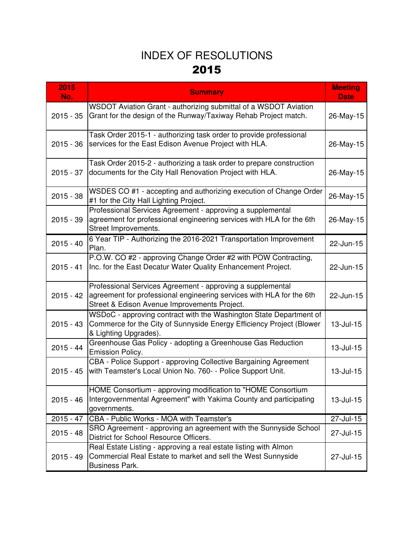| 2015<br>No. | <b>Summary</b>                                                                                                                                                                     | <b>Meeting</b><br><b>Date</b> |
|-------------|------------------------------------------------------------------------------------------------------------------------------------------------------------------------------------|-------------------------------|
| $2015 - 35$ | WSDOT Aviation Grant - authorizing submittal of a WSDOT Aviation<br>Grant for the design of the Runway/Taxiway Rehab Project match.                                                | 26-May-15                     |
| $2015 - 36$ | Task Order 2015-1 - authorizing task order to provide professional<br>services for the East Edison Avenue Project with HLA.                                                        | 26-May-15                     |
| $2015 - 37$ | Task Order 2015-2 - authorizing a task order to prepare construction<br>documents for the City Hall Renovation Project with HLA.                                                   | 26-May-15                     |
| $2015 - 38$ | WSDES CO #1 - accepting and authorizing execution of Change Order<br>#1 for the City Hall Lighting Project.                                                                        | 26-May-15                     |
| $2015 - 39$ | Professional Services Agreement - approving a supplemental<br>agreement for professional engineering services with HLA for the 6th<br>Street Improvements.                         | 26-May-15                     |
| $2015 - 40$ | 6 Year TIP - Authorizing the 2016-2021 Transportation Improvement<br>Plan.                                                                                                         | 22-Jun-15                     |
| $2015 - 41$ | P.O.W. CO #2 - approving Change Order #2 with POW Contracting,<br>Inc. for the East Decatur Water Quality Enhancement Project.                                                     | 22-Jun-15                     |
| $2015 - 42$ | Professional Services Agreement - approving a supplemental<br>agreement for professional engineering services with HLA for the 6th<br>Street & Edison Avenue Improvements Project. | 22-Jun-15                     |
| $2015 - 43$ | WSDoC - approving contract with the Washington State Department of<br>Commerce for the City of Sunnyside Energy Efficiency Project (Blower<br>& Lighting Upgrades).                | $13$ -Jul-15                  |
| $2015 - 44$ | Greenhouse Gas Policy - adopting a Greenhouse Gas Reduction<br><b>Emission Policy.</b>                                                                                             | 13-Jul-15                     |
| $2015 - 45$ | CBA - Police Support - approving Collective Bargaining Agreement<br>with Teamster's Local Union No. 760- - Police Support Unit.                                                    | 13-Jul-15                     |
| $2015 - 46$ | HOME Consortium - approving modification to "HOME Consortium<br>Intergovernmental Agreement" with Yakima County and participating<br>governments.                                  | 13-Jul-15                     |
| $2015 - 47$ | CBA - Public Works - MOA with Teamster's                                                                                                                                           | 27-Jul-15                     |
| $2015 - 48$ | SRO Agreement - approving an agreement with the Sunnyside School<br>District for School Resource Officers.                                                                         | 27-Jul-15                     |
| $2015 - 49$ | Real Estate Listing - approving a real estate listing with Almon<br>Commercial Real Estate to market and sell the West Sunnyside<br><b>Business Park.</b>                          | 27-Jul-15                     |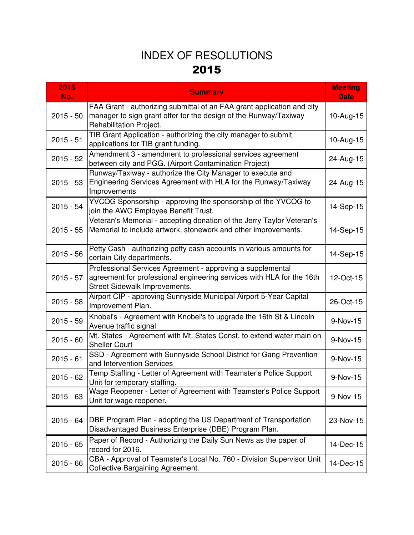| 2015<br>No. | <b>Summary</b>                                                                                                                                                        | <b>Meeting</b><br><b>Date</b> |
|-------------|-----------------------------------------------------------------------------------------------------------------------------------------------------------------------|-------------------------------|
| $2015 - 50$ | FAA Grant - authorizing submittal of an FAA grant application and city<br>manager to sign grant offer for the design of the Runway/Taxiway<br>Rehabilitation Project. | 10-Aug-15                     |
| $2015 - 51$ | TIB Grant Application - authorizing the city manager to submit<br>applications for TIB grant funding.                                                                 | 10-Aug-15                     |
| $2015 - 52$ | Amendment 3 - amendment to professional services agreement<br>between city and PGG. (Airport Contamination Project)                                                   | 24-Aug-15                     |
| $2015 - 53$ | Runway/Taxiway - authorize the City Manager to execute and<br>Engineering Services Agreement with HLA for the Runway/Taxiway<br>Improvements                          | 24-Aug-15                     |
| $2015 - 54$ | YVCOG Sponsorship - approving the sponsorship of the YVCOG to<br>join the AWC Employee Benefit Trust.                                                                 | 14-Sep-15                     |
| $2015 - 55$ | Veteran's Memorial - accepting donation of the Jerry Taylor Veteran's<br>Memorial to include artwork, stonework and other improvements.                               | 14-Sep-15                     |
| $2015 - 56$ | Petty Cash - authorizing petty cash accounts in various amounts for<br>certain City departments.                                                                      | 14-Sep-15                     |
| $2015 - 57$ | Professional Services Agreement - approving a supplemental<br>agreement for professional engineering services with HLA for the 16th<br>Street Sidewalk Improvements.  | 12-Oct-15                     |
| $2015 - 58$ | Airport CIP - approving Sunnyside Municipal Airport 5-Year Capital<br>Improvement Plan.                                                                               | 26-Oct-15                     |
| $2015 - 59$ | Knobel's - Agreement with Knobel's to upgrade the 16th St & Lincoln<br>Avenue traffic signal                                                                          | 9-Nov-15                      |
| $2015 - 60$ | Mt. States - Agreement with Mt. States Const. to extend water main on<br><b>Sheller Court</b>                                                                         | 9-Nov-15                      |
| $2015 - 61$ | SSD - Agreement with Sunnyside School District for Gang Prevention<br>and Intervention Services                                                                       | 9-Nov-15                      |
| $2015 - 62$ | Temp Staffing - Letter of Agreement with Teamster's Police Support<br>Unit for temporary staffing.                                                                    | 9-Nov-15                      |
| $2015 - 63$ | Wage Reopener - Letter of Agreement with Teamster's Police Support<br>Unit for wage reopener.                                                                         | 9-Nov-15                      |
| $2015 - 64$ | DBE Program Plan - adopting the US Department of Transportation<br>Disadvantaged Business Enterprise (DBE) Program Plan.                                              | 23-Nov-15                     |
| $2015 - 65$ | Paper of Record - Authorizing the Daily Sun News as the paper of<br>record for 2016.                                                                                  | 14-Dec-15                     |
| $2015 - 66$ | CBA - Approval of Teamster's Local No. 760 - Division Supervisor Unit<br><b>Collective Bargaining Agreement.</b>                                                      | 14-Dec-15                     |